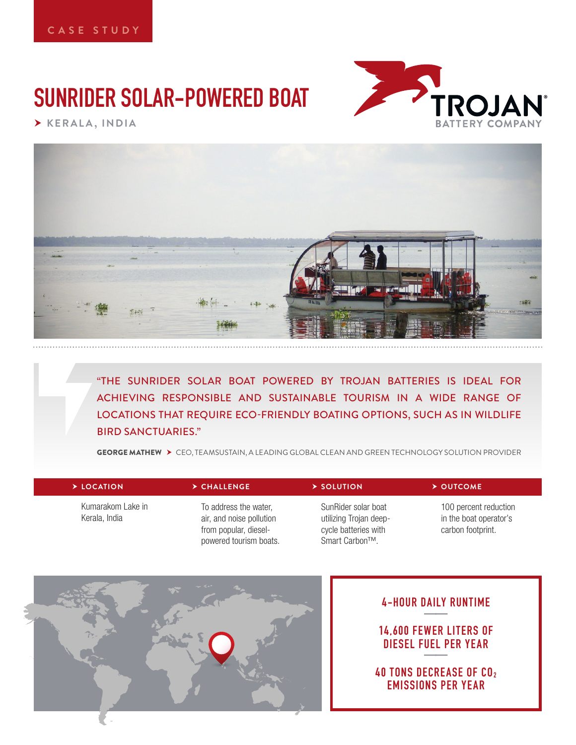# **SUNRIDER SOLAR-POWERED BOAT**



 **KERALA, INDIA**



"THE SUNRIDER SOLAR BOAT POWERED BY TROJAN BATTERIES IS IDEAL FOR ACHIEVING RESPONSIBLE AND SUSTAINABLE TOURISM IN A WIDE RANGE OF LOCATIONS THAT REQUIRE ECO-FRIENDLY BOATING OPTIONS, SUCH AS IN WILDLIFE BIRD SANCTUARIES."

GEORGE MATHEW CEO, TEAMSUSTAIN, A LEADING GLOBAL CLEAN AND GREEN TECHNOLOGY SOLUTION PROVIDER

| $\triangleright$ LOCATION          | $\triangleright$ CHALLENGE                                                                           | $\triangleright$ SOLUTION                                                                            | $\triangleright$ OUTCOME                                             |
|------------------------------------|------------------------------------------------------------------------------------------------------|------------------------------------------------------------------------------------------------------|----------------------------------------------------------------------|
| Kumarakom Lake in<br>Kerala, India | To address the water,<br>air, and noise pollution<br>from popular, diesel-<br>powered tourism boats. | SunRider solar boat<br>utilizing Trojan deep-<br>cycle batteries with<br>Smart Carbon <sup>™</sup> . | 100 percent reduction<br>in the boat operator's<br>carbon footprint. |



## **4-HOUR DAILY RUNTIME ——**

**14,600 FEWER LITERS OF DIESEL FUEL PER YEAR** 

**40 TONS DECREASE OF CO2 EMISSIONS PER YEAR**